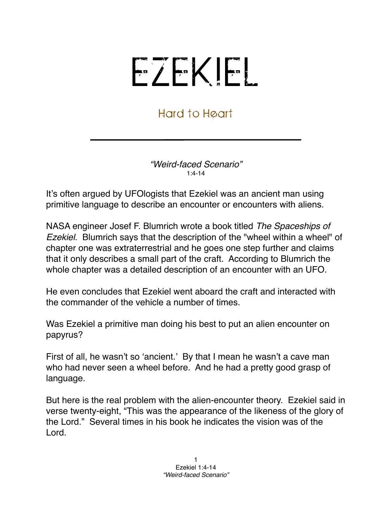## EZEKIEL

## Hard to Heart

*"Weird-faced Scenario"* 1:4-14

It's often argued by UFOlogists that Ezekiel was an ancient man using primitive language to describe an encounter or encounters with aliens.

NASA engineer Josef F. Blumrich wrote a book titled *The Spaceships of Ezekiel*. Blumrich says that the description of the "wheel within a wheel" of chapter one was extraterrestrial and he goes one step further and claims that it only describes a small part of the craft. According to Blumrich the whole chapter was a detailed description of an encounter with an UFO.

He even concludes that Ezekiel went aboard the craft and interacted with the commander of the vehicle a number of times.

Was Ezekiel a primitive man doing his best to put an alien encounter on papyrus?

First of all, he wasn't so ʻancient.' By that I mean he wasn't a cave man who had never seen a wheel before. And he had a pretty good grasp of language.

But here is the real problem with the alien-encounter theory. Ezekiel said in verse twenty-eight, "This was the appearance of the likeness of the glory of the Lord." Several times in his book he indicates the vision was of the Lord.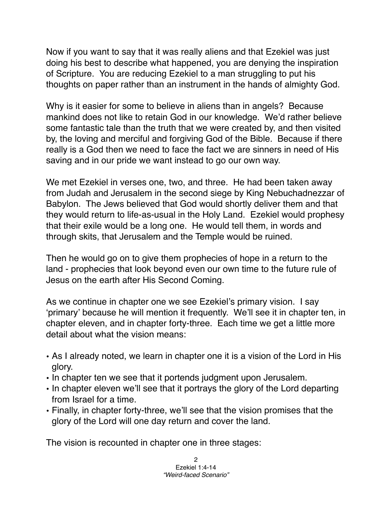Now if you want to say that it was really aliens and that Ezekiel was just doing his best to describe what happened, you are denying the inspiration of Scripture. You are reducing Ezekiel to a man struggling to put his thoughts on paper rather than an instrument in the hands of almighty God.

Why is it easier for some to believe in aliens than in angels? Because mankind does not like to retain God in our knowledge. We'd rather believe some fantastic tale than the truth that we were created by, and then visited by, the loving and merciful and forgiving God of the Bible. Because if there really is a God then we need to face the fact we are sinners in need of His saving and in our pride we want instead to go our own way.

We met Ezekiel in verses one, two, and three. He had been taken away from Judah and Jerusalem in the second siege by King Nebuchadnezzar of Babylon. The Jews believed that God would shortly deliver them and that they would return to life-as-usual in the Holy Land. Ezekiel would prophesy that their exile would be a long one. He would tell them, in words and through skits, that Jerusalem and the Temple would be ruined.

Then he would go on to give them prophecies of hope in a return to the land - prophecies that look beyond even our own time to the future rule of Jesus on the earth after His Second Coming.

As we continue in chapter one we see Ezekiel's primary vision. I say ʻprimary' because he will mention it frequently. We'll see it in chapter ten, in chapter eleven, and in chapter forty-three. Each time we get a little more detail about what the vision means:

- As I already noted, we learn in chapter one it is a vision of the Lord in His glory.
- In chapter ten we see that it portends judgment upon Jerusalem.
- In chapter eleven we'll see that it portrays the glory of the Lord departing from Israel for a time.
- Finally, in chapter forty-three, we'll see that the vision promises that the glory of the Lord will one day return and cover the land.

The vision is recounted in chapter one in three stages: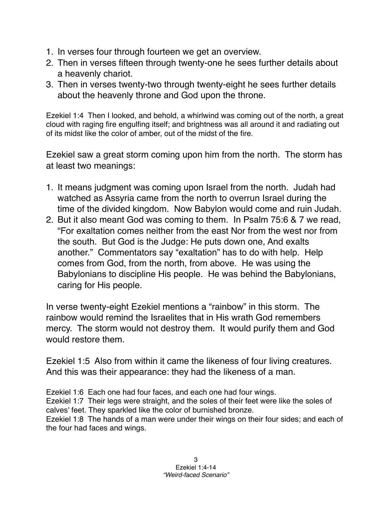- 1. In verses four through fourteen we get an overview.
- 2. Then in verses fifteen through twenty-one he sees further details about a heavenly chariot.
- 3. Then in verses twenty-two through twenty-eight he sees further details about the heavenly throne and God upon the throne.

Ezekiel 1:4 Then I looked, and behold, a whirlwind was coming out of the north, a great cloud with raging fire engulfing itself; and brightness was all around it and radiating out of its midst like the color of amber, out of the midst of the fire.

Ezekiel saw a great storm coming upon him from the north. The storm has at least two meanings:

- 1. It means judgment was coming upon Israel from the north. Judah had watched as Assyria came from the north to overrun Israel during the time of the divided kingdom. Now Babylon would come and ruin Judah.
- 2. But it also meant God was coming to them. In Psalm 75:6 & 7 we read, "For exaltation comes neither from the east Nor from the west nor from the south. But God is the Judge: He puts down one, And exalts another." Commentators say "exaltation" has to do with help. Help comes from God, from the north, from above. He was using the Babylonians to discipline His people. He was behind the Babylonians, caring for His people.

In verse twenty-eight Ezekiel mentions a "rainbow" in this storm. The rainbow would remind the Israelites that in His wrath God remembers mercy. The storm would not destroy them. It would purify them and God would restore them.

Ezekiel 1:5 Also from within it came the likeness of four living creatures. And this was their appearance: they had the likeness of a man.

Ezekiel 1:6 Each one had four faces, and each one had four wings. Ezekiel 1:7 Their legs were straight, and the soles of their feet were like the soles of calves' feet. They sparkled like the color of burnished bronze. Ezekiel 1:8 The hands of a man were under their wings on their four sides; and each of the four had faces and wings.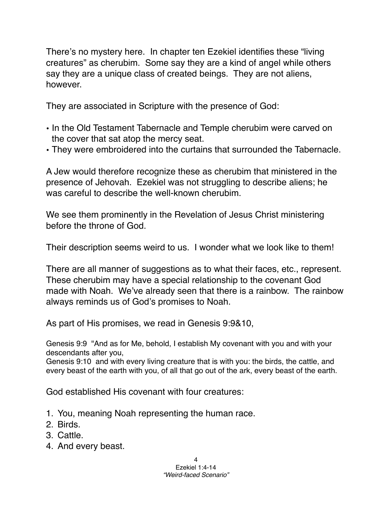There's no mystery here. In chapter ten Ezekiel identifies these "living creatures" as cherubim. Some say they are a kind of angel while others say they are a unique class of created beings. They are not aliens, however.

They are associated in Scripture with the presence of God:

- In the Old Testament Tabernacle and Temple cherubim were carved on the cover that sat atop the mercy seat.
- They were embroidered into the curtains that surrounded the Tabernacle.

A Jew would therefore recognize these as cherubim that ministered in the presence of Jehovah. Ezekiel was not struggling to describe aliens; he was careful to describe the well-known cherubim.

We see them prominently in the Revelation of Jesus Christ ministering before the throne of God.

Their description seems weird to us. I wonder what we look like to them!

There are all manner of suggestions as to what their faces, etc., represent. These cherubim may have a special relationship to the covenant God made with Noah. We've already seen that there is a rainbow. The rainbow always reminds us of God's promises to Noah.

As part of His promises, we read in Genesis 9:9&10,

Genesis 9:9 "And as for Me, behold, I establish My covenant with you and with your descendants after you,

Genesis 9:10 and with every living creature that is with you: the birds, the cattle, and every beast of the earth with you, of all that go out of the ark, every beast of the earth.

God established His covenant with four creatures:

- 1. You, meaning Noah representing the human race.
- 2. Birds.
- 3. Cattle.
- 4. And every beast.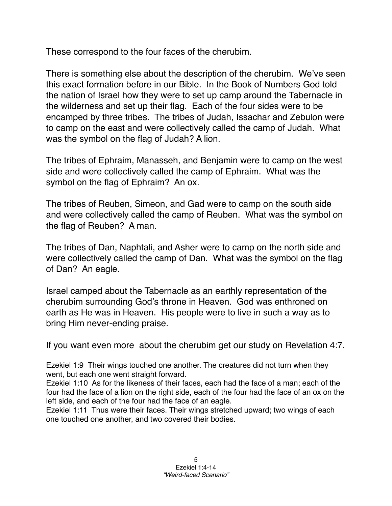These correspond to the four faces of the cherubim.

There is something else about the description of the cherubim. We've seen this exact formation before in our Bible. In the Book of Numbers God told the nation of Israel how they were to set up camp around the Tabernacle in the wilderness and set up their flag. Each of the four sides were to be encamped by three tribes. The tribes of Judah, Issachar and Zebulon were to camp on the east and were collectively called the camp of Judah. What was the symbol on the flag of Judah? A lion.

The tribes of Ephraim, Manasseh, and Benjamin were to camp on the west side and were collectively called the camp of Ephraim. What was the symbol on the flag of Ephraim? An ox.

The tribes of Reuben, Simeon, and Gad were to camp on the south side and were collectively called the camp of Reuben. What was the symbol on the flag of Reuben? A man.

The tribes of Dan, Naphtali, and Asher were to camp on the north side and were collectively called the camp of Dan. What was the symbol on the flag of Dan? An eagle.

Israel camped about the Tabernacle as an earthly representation of the cherubim surrounding God's throne in Heaven. God was enthroned on earth as He was in Heaven. His people were to live in such a way as to bring Him never-ending praise.

If you want even more about the cherubim get our study on Revelation 4:7.

Ezekiel 1:9 Their wings touched one another. The creatures did not turn when they went, but each one went straight forward.

Ezekiel 1:10 As for the likeness of their faces, each had the face of a man; each of the four had the face of a lion on the right side, each of the four had the face of an ox on the left side, and each of the four had the face of an eagle.

Ezekiel 1:11 Thus were their faces. Their wings stretched upward; two wings of each one touched one another, and two covered their bodies.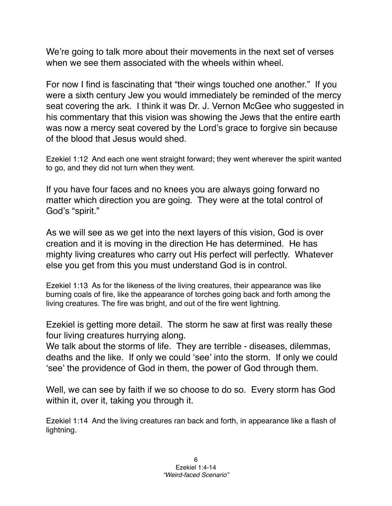We're going to talk more about their movements in the next set of verses when we see them associated with the wheels within wheel.

For now I find is fascinating that "their wings touched one another." If you were a sixth century Jew you would immediately be reminded of the mercy seat covering the ark. I think it was Dr. J. Vernon McGee who suggested in his commentary that this vision was showing the Jews that the entire earth was now a mercy seat covered by the Lord's grace to forgive sin because of the blood that Jesus would shed.

Ezekiel 1:12 And each one went straight forward; they went wherever the spirit wanted to go, and they did not turn when they went.

If you have four faces and no knees you are always going forward no matter which direction you are going. They were at the total control of God's "spirit."

As we will see as we get into the next layers of this vision, God is over creation and it is moving in the direction He has determined. He has mighty living creatures who carry out His perfect will perfectly. Whatever else you get from this you must understand God is in control.

Ezekiel 1:13 As for the likeness of the living creatures, their appearance was like burning coals of fire, like the appearance of torches going back and forth among the living creatures. The fire was bright, and out of the fire went lightning.

Ezekiel is getting more detail. The storm he saw at first was really these four living creatures hurrying along.

We talk about the storms of life. They are terrible - diseases, dilemmas, deaths and the like. If only we could ʻsee' into the storm. If only we could ʻsee' the providence of God in them, the power of God through them.

Well, we can see by faith if we so choose to do so. Every storm has God within it, over it, taking you through it.

Ezekiel 1:14 And the living creatures ran back and forth, in appearance like a flash of lightning.